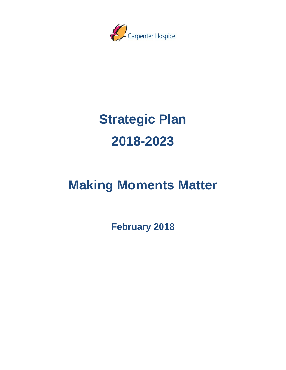

# **Strategic Plan 2018-2023**

# **Making Moments Matter**

**February 2018**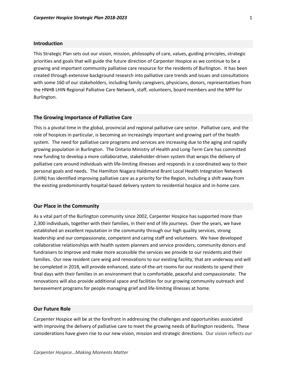# **Introduction**

This Strategic Plan sets out our vision, mission, philosophy of care, values, guiding principles, strategic priorities and goals that will guide the future direction of Carpenter Hospice as we continue to be a growing and important community palliative care resource for the residents of Burlington. It has been created through extensive background research into palliative care trends and issues and consultations with some 160 of our stakeholders, including family caregivers, physicians, donors, representatives from the HNHB LHIN Regional Palliative Care Network, staff, volunteers, board members and the MPP for Burlington.

#### **The Growing Importance of Palliative Care**

This is a pivotal time in the global, provincial and regional palliative care sector. Palliative care, and the role of hospices in particular, is becoming an increasingly important and growing part of the health system. The need for palliative care programs and services are increasing due to the aging and rapidly growing population in Burlington. The Ontario Ministry of Health and Long-Term Care has committed new funding to develop a more collaborative, stakeholder-driven system that wraps the delivery of palliative care around individuals with life-limiting illnesses and responds in a coordinated way to their personal goals and needs. The Hamilton Niagara Haldimand Brant Local Health Integration Network (LHIN) has identified improving palliative care as a priority for the Region, including a shift away from the existing predominantly hospital-based delivery system to residential hospice and in-home care.

#### **Our Place in the Community**

As a vital part of the Burlington community since 2002, Carpenter Hospice has supported more than 2,300 individuals, together with their families, in their end of life journeys. Over the years, we have established an excellent reputation in the community through our high quality services, strong leadership and our compassionate, competent and caring staff and volunteers. We have developed collaborative relationships with health system planners and service providers, community donors and fundraisers to improve and make more accessible the services we provide to our residents and their families. Our new resident care wing and renovations to our existing facility, that are underway and will be completed in 2018, will provide enhanced, state-of-the-art rooms for our residents to spend their final days with their families in an environment that is comfortable, peaceful and compassionate. The renovations will also provide additional space and facilities for our growing community outreach and bereavement programs for people managing grief and life-limiting illnesses at home.

# **Our Future Role**

Carpenter Hospice will be at the forefront in addressing the challenges and opportunities associated with improving the delivery of palliative care to meet the growing needs of Burlington residents. These considerations have given rise to our new vision, mission and strategic directions. Our vision reflects our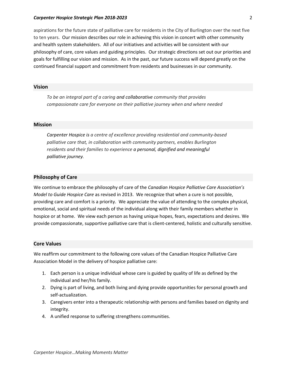## *Carpenter Hospice Strategic Plan 2018-2023* 2

aspirations for the future state of palliative care for residents in the City of Burlington over the next five to ten years. Our mission describes our role in achieving this vision in concert with other community and health system stakeholders. All of our initiatives and activities will be consistent with our philosophy of care, core values and guiding principles. Our strategic directions set out our priorities and goals for fulfilling our vision and mission. As in the past, our future success will depend greatly on the continued financial support and commitment from residents and businesses in our community.

# **Vision**

*To be an integral part of a caring and collaborative community that provides compassionate care for everyone on their palliative journey when and where needed*

#### **Mission**

*Carpenter Hospice is a centre of excellence providing residential and community-based palliative care that, in collaboration with community partners, enables Burlington residents and their families to experience a personal, dignified and meaningful palliative journey.*

# **Philosophy of Care**

We continue to embrace the philosophy of care of the *Canadian Hospice Palliative Care Association's Model to Guide Hospice Care* as revised in 2013. We recognize that when a cure is not possible, providing care and comfort is a priority. We appreciate the value of attending to the complex physical, emotional, social and spiritual needs of the individual along with their family members whether in hospice or at home. We view each person as having unique hopes, fears, expectations and desires. We provide compassionate, supportive palliative care that is client-centered, holistic and culturally sensitive.

## **Core Values**

We reaffirm our commitment to the following core values of the Canadian Hospice Palliative Care Association Model in the delivery of hospice palliative care:

- 1. Each person is a unique individual whose care is guided by quality of life as defined by the individual and her/his family.
- 2. Dying is part of living, and both living and dying provide opportunities for personal growth and self-actualization.
- 3. Caregivers enter into a therapeutic relationship with persons and families based on dignity and integrity.
- 4. A unified response to suffering strengthens communities.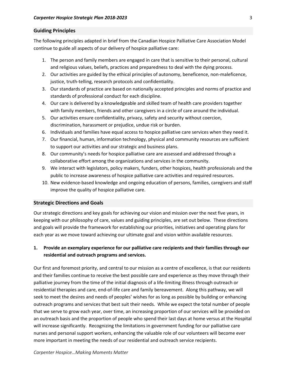# **Guiding Principles**

The following principles adapted in brief from the Canadian Hospice Palliative Care Association Model continue to guide all aspects of our delivery of hospice palliative care:

- 1. The person and family members are engaged in care that is sensitive to their personal, cultural and religious values, beliefs, practices and preparedness to deal with the dying process.
- 2. Our activities are guided by the ethical principles of autonomy, beneficence, non-maleficence, justice, truth-telling, research protocols and confidentiality.
- 3. Our standards of practice are based on nationally accepted principles and norms of practice and standards of professional conduct for each discipline.
- 4. Our care is delivered by a knowledgeable and skilled team of health care providers together with family members, friends and other caregivers in a circle of care around the individual.
- 5. Our activities ensure confidentiality, privacy, safety and security without coercion, discrimination, harassment or prejudice, undue risk or burden.
- 6. Individuals and families have equal access to hospice palliative care services when they need it.
- 7. Our financial, human, information technology, physical and community resources are sufficient to support our activities and our strategic and business plans.
- 8. Our community's needs for hospice palliative care are assessed and addressed through a collaborative effort among the organizations and services in the community.
- 9. We interact with legislators, policy makers, funders, other hospices, health professionals and the public to increase awareness of hospice palliative care activities and required resources.
- 10. New evidence-based knowledge and ongoing education of persons, families, caregivers and staff improve the quality of hospice palliative care.

# **Strategic Directions and Goals**

Our strategic directions and key goals for achieving our vision and mission over the next five years, in keeping with our philosophy of care, values and guiding principles, are set out below. These directions and goals will provide the framework for establishing our priorities, initiatives and operating plans for each year as we move toward achieving our ultimate goal and vision within available resources.

# **1. Provide an exemplary experience for our palliative care recipients and their families through our residential and outreach programs and services.**

Our first and foremost priority, and central to our mission as a centre of excellence, is that our residents and their families continue to receive the best possible care and experience as they move through their palliative journey from the time of the initial diagnosis of a life-limiting illness through outreach or residential therapies and care, end-of-life care and family bereavement. Along this pathway, we will seek to meet the desires and needs of peoples' wishes for as long as possible by building or enhancing outreach programs and services that best suit their needs. While we expect the total number of people that we serve to grow each year, over time, an increasing proportion of our services will be provided on an outreach basis and the proportion of people who spend their last days at home versus at the Hospital will increase significantly. Recognizing the limitations in government funding for our palliative care nurses and personal support workers, enhancing the valuable role of our volunteers will become ever more important in meeting the needs of our residential and outreach service recipients.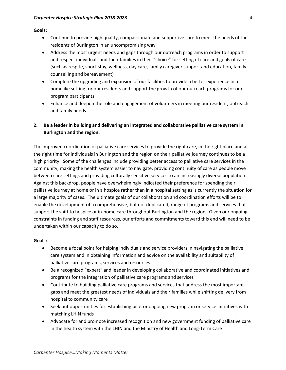**Goals:**

- Continue to provide high quality, compassionate and supportive care to meet the needs of the residents of Burlington in an uncompromising way
- Address the most urgent needs and gaps through our outreach programs in order to support and respect individuals and their families in their "choice" for setting of care and goals of care (such as respite, short-stay, wellness, day care, family caregiver support and education, family counselling and bereavement)
- Complete the upgrading and expansion of our facilities to provide a better experience in a homelike setting for our residents and support the growth of our outreach programs for our program participants
- Enhance and deepen the role and engagement of volunteers in meeting our resident, outreach and family needs
- **2. Be a leader in building and delivering an integrated and collaborative palliative care system in Burlington and the region.**

The improved coordination of palliative care services to provide the right care, in the right place and at the right time for individuals in Burlington and the region on their palliative journey continues to be a high priority. Some of the challenges include providing better access to palliative care services in the community, making the health system easier to navigate, providing continuity of care as people move between care settings and providing culturally sensitive services to an increasingly diverse population. Against this backdrop, people have overwhelmingly indicated their preference for spending their palliative journey at home or in a hospice rather than in a hospital setting as is currently the situation for a large majority of cases. The ultimate goals of our collaboration and coordination efforts will be to enable the development of a comprehensive, but not duplicated, range of programs and services that support the shift to hospice or in-home care throughout Burlington and the region. Given our ongoing constraints in funding and staff resources, our efforts and commitments toward this end will need to be undertaken within our capacity to do so.

# **Goals:**

- Become a focal point for helping individuals and service providers in navigating the palliative care system and in obtaining information and advice on the availability and suitability of palliative care programs, services and resources
- Be a recognized "expert" and leader in developing collaborative and coordinated initiatives and programs for the integration of palliative care programs and services
- Contribute to building palliative care programs and services that address the most important gaps and meet the greatest needs of individuals and their families while shifting delivery from hospital to community care
- Seek out opportunities for establishing pilot or ongoing new program or service initiatives with matching LHIN funds
- Advocate for and promote increased recognition and new government funding of palliative care in the health system with the LHIN and the Ministry of Health and Long-Term Care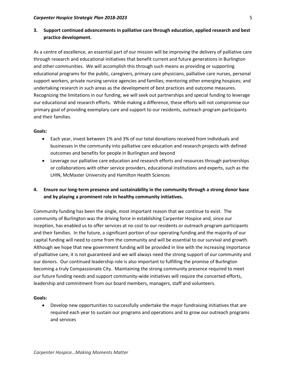# **3. Support continued advancements in palliative care through education, applied research and best practice development.**

As a centre of excellence, an essential part of our mission will be improving the delivery of palliative care through research and educational initiatives that benefit current and future generations in Burlington and other communities. We will accomplish this through such means as providing or supporting educational programs for the public, caregivers, primary care physicians, palliative care nurses, personal support workers, private nursing service agencies and families; mentoring other emerging hospices; and undertaking research in such areas as the development of best practices and outcome measures. Recognizing the limitations in our funding, we will seek out partnerships and special funding to leverage our educational and research efforts. While making a difference, these efforts will not compromise our primary goal of providing exemplary care and support to our residents, outreach program participants and their families.

# **Goals:**

- Each year, invest between 1% and 3% of our total donations received from individuals and businesses in the community into palliative care education and research projects with defined outcomes and benefits for people in Burlington and beyond
- Leverage our palliative care education and research efforts and resources through partnerships or collaborations with other service providers, educational institutions and experts, such as the LHIN, McMaster University and Hamilton Health Sciences
- **4. Ensure our long-term presence and sustainability in the community through a strong donor base and by playing a prominent role in healthy community initiatives.**

Community funding has been the single, most important reason that we continue to exist. The community of Burlington was the driving force in establishing Carpenter Hospice and, since our inception, has enabled us to offer services at no cost to our residents or outreach program participants and their families. In the future, a significant portion of our operating funding and the majority of our capital funding will need to come from the community and will be essential to our survival and growth. Although we hope that new government funding will be provided in line with the increasing importance of palliative care, it is not guaranteed and we will always need the strong support of our community and our donors. Our continued leadership role is also important to fulfilling the promise of Burlington becoming a truly Compassionate City. Maintaining the strong community presence required to meet our future funding needs and support community-wide initiatives will require the concerted efforts, leadership and commitment from our board members, managers, staff and volunteers.

# **Goals:**

 Develop new opportunities to successfully undertake the major fundraising initiatives that are required each year to sustain our programs and operations and to grow our outreach programs and services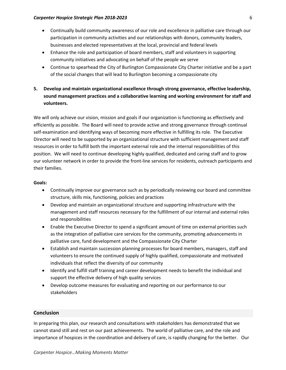# *Carpenter Hospice Strategic Plan 2018-2023* 6

- Continually build community awareness of our role and excellence in palliative care through our participation in community activities and our relationships with donors, community leaders, businesses and elected representatives at the local, provincial and federal levels
- Enhance the role and participation of board members, staff and volunteers in supporting community initiatives and advocating on behalf of the people we serve
- Continue to spearhead the City of Burlington Compassionate City Charter initiative and be a part of the social changes that will lead to Burlington becoming a compassionate city
- **5. Develop and maintain organizational excellence through strong governance, effective leadership, sound management practices and a collaborative learning and working environment for staff and volunteers.**

We will only achieve our vision, mission and goals if our organization is functioning as effectively and efficiently as possible. The Board will need to provide active and strong governance through continual self-examination and identifying ways of becoming more effective in fulfilling its role. The Executive Director will need to be supported by an organizational structure with sufficient management and staff resources in order to fulfill both the important external role and the internal responsibilities of this position. We will need to continue developing highly qualified, dedicated and caring staff and to grow our volunteer network in order to provide the front-line services for residents, outreach participants and their families.

# **Goals:**

- Continually improve our governance such as by periodically reviewing our board and committee structure, skills mix, functioning, policies and practices
- Develop and maintain an organizational structure and supporting infrastructure with the management and staff resources necessary for the fulfillment of our internal and external roles and responsibilities
- Enable the Executive Director to spend a significant amount of time on external priorities such as the integration of palliative care services for the community, promoting advancements in palliative care, fund development and the Compassionate City Charter
- Establish and maintain succession planning processes for board members, managers, staff and volunteers to ensure the continued supply of highly qualified, compassionate and motivated individuals that reflect the diversity of our community
- Identify and fulfill staff training and career development needs to benefit the individual and support the effective delivery of high quality services
- Develop outcome measures for evaluating and reporting on our performance to our stakeholders

# **Conclusion**

In preparing this plan, our research and consultations with stakeholders has demonstrated that we cannot stand still and rest on our past achievements. The world of palliative care, and the role and importance of hospices in the coordination and delivery of care, is rapidly changing for the better. Our